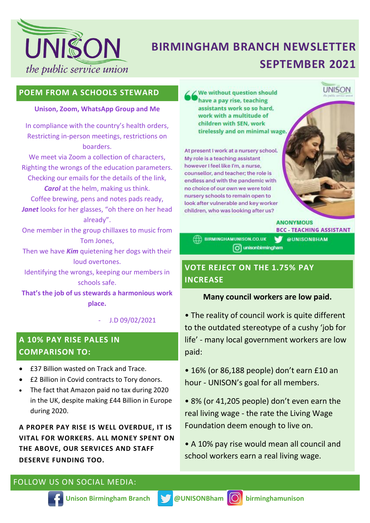

# **BIRMINGHAM BRANCH NEWSLETTER SEPTEMBER 2021**

### **POEM FROM A SCHOOLS STEWARD**

#### **Unison, Zoom, WhatsApp Group and Me**

In compliance with the country's health orders, Restricting in-person meetings, restrictions on boarders.

We meet via Zoom a collection of characters. Righting the wrongs of the education parameters. Checking our emails for the details of the link, *Carol* at the helm, making us think.

Coffee brewing, pens and notes pads ready, *Janet* looks for her glasses, "oh there on her head already".

One member in the group chillaxes to music from Tom Jones,

Then we have *Kim* quietening her dogs with their loud overtones.

Identifying the wrongs, keeping our members in schools safe.

**That's the job of us stewards a harmonious work place.**

- J.D 09/02/2021

### **A 10% PAY RISE PALES IN COMPARISON TO:**

- £37 Billion wasted on Track and Trace.
- £2 Billion in Covid contracts to Tory donors.
- The fact that Amazon paid no tax during 2020 in the UK, despite making £44 Billion in Europe during 2020.

**A PROPER PAY RISE IS WELL OVERDUE, IT IS VITAL FOR WORKERS. ALL MONEY SPENT ON THE ABOVE, OUR SERVICES AND STAFF DESERVE FUNDING TOO.** 

We without question should have a pay rise, teaching assistants work so so hard. work with a multitude of children with SEN, work tirelessly and on minimal wage

At present I work at a nursery school. My role is a teaching assistant however I feel like I'm, a nurse, counsellor, and teacher; the role is endless and with the pandemic with no choice of our own we were told nursery schools to remain open to look after vulnerable and key worker children, who was looking after us?

> **ANONYMOUS BCC - TEACHING ASSISTANT**

**UNISON** 

**ED BIRMINGHAMUNISON.CO.UK** v **@UNISONBHAM** o] unisonbirmingham

## **VOTE REJECT ON THE 1.75% PAY INCREASE**

#### **Many council workers are low paid.**

• The reality of council work is quite different to the outdated stereotype of a cushy 'job for life' - many local government workers are low paid:

- 16% (or 86,188 people) don't earn £10 an hour - UNISON's goal for all members.
- 8% (or 41,205 people) don't even earn the real living wage - the rate the Living Wage Foundation deem enough to live on.
- A 10% pay rise would mean all council and school workers earn a real living wage.

### FOLLOW US ON SOCIAL MEDIA:

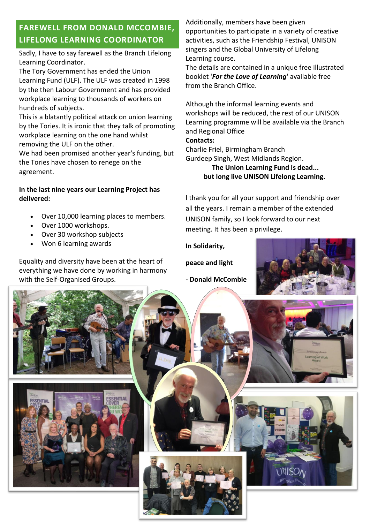## **FAREWELL FROM DONALD MCCOMBIE, LIFELONG LEARNING COORDINATOR**

Sadly, I have to say farewell as the Branch Lifelong Learning Coordinator.

The Tory Government has ended the Union Learning Fund (ULF). The ULF was created in 1998 by the then Labour Government and has provided workplace learning to thousands of workers on hundreds of subjects.

This is a blatantly political attack on union learning by the Tories. It is ironic that they talk of promoting workplace learning on the one hand whilst removing the ULF on the other.

We had been promised another year's funding, but the Tories have chosen to renege on the agreement.

#### **In the last nine years our Learning Project has delivered:**

- Over 10,000 learning places to members.
- Over 1000 workshops.
- Over 30 workshop subjects
- Won 6 learning awards

Equality and diversity have been at the heart of everything we have done by working in harmony with the Self-Organised Groups.

Additionally, members have been given opportunities to participate in a variety of creative activities, such as the Friendship Festival, UNISON singers and the Global University of Lifelong Learning course.

The details are contained in a unique free illustrated booklet '*For the Love of Learning*' available free from the Branch Office.

Although the informal learning events and workshops will be reduced, the rest of our UNISON Learning programme will be available via the Branch and Regional Office

#### **Contacts:**

Charlie Friel, Birmingham Branch Gurdeep Singh, West Midlands Region.

> **The Union Learning Fund is dead... but long live UNISON Lifelong Learning.**

l thank you for all your support and friendship over all the years. I remain a member of the extended UNISON family, so I look forward to our next meeting. It has been a privilege.

#### **In Solidarity,**

**peace and light - Donald McCombie** 



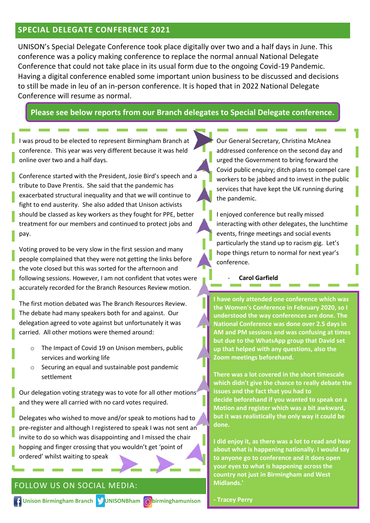#### **SPECIAL DELEGATE CONFERENCE 2021**

UNISON's Special Delegate Conference took place digitally over two and a half days in June. This conference was a policy making conference to replace the normal annual National Delegate Conference that could not take place in its usual form due to the ongoing Covid-19 Pandemic. Having a digital conference enabled some important union business to be discussed and decisions to still be made in leu of an in-person conference. It is hoped that in 2022 National Delegate Conference will resume as normal.

#### **Please see below reports from our Branch delegates to Special Delegate conference.**

I was proud to be elected to represent Birmingham Branch at conference. This year was very different because it was held online over two and a half days.

Conference started with the President, Josie Bird's speech and a tribute to Dave Prentis. She said that the pandemic has exacerbated structural inequality and that we will continue to fight to end austerity. She also added that Unison activists should be classed as key workers as they fought for PPE, better treatment for our members and continued to protect jobs and pay.

Voting proved to be very slow in the first session and many people complained that they were not getting the links before the vote closed but this was sorted for the afternoon and following sessions. However, I am not confident that votes were accurately recorded for the Branch Resources Review motion.

The first motion debated was The Branch Resources Review. The debate had many speakers both for and against. Our delegation agreed to vote against but unfortunately it was carried. All other motions were themed around:

- o The Impact of Covid 19 on Unison members, public services and working life
- o Securing an equal and sustainable post pandemic settlement

Our delegation voting strategy was to vote for all other motions and they were all carried with no card votes required.

Delegates who wished to move and/or speak to motions had to pre-register and although I registered to speak I was not sent an invite to do so which was disappointing and I missed the chair hopping and finger crossing that you wouldn't get 'point of ordered' whilst waiting to speak

#### FOLLOW US ON SOCIAL MEDIA:

 **Unison Birmingham Branch MUNISONBham Birminghamunison** 



Our General Secretary, Christina McAnea addressed conference on the second day and urged the Government to bring forward the Covid public enquiry; ditch plans to compel care workers to be jabbed and to invest in the public services that have kept the UK running during the pandemic.

I enjoyed conference but really missed interacting with other delegates, the lunchtime events, fringe meetings and social events particularly the stand up to racism gig. Let's hope things return to normal for next year's conference.

- **Carol Garfield**

**I have only attended one conference which was the Women's Conference in February 2020, so I understood the way conferences are done. The National Conference was done over 2.5 days in AM and PM sessions and was confusing at times but due to the WhatsApp group that David set up that helped with any questions, also the Zoom meetings beforehand.**

**There was a lot covered in the short timescale which didn't give the chance to really debate the issues and the fact that you had to decide beforehand if you wanted to speak on a Motion and register which was a bit awkward, but it was realistically the only way it could be done.**

**I did enjoy it, as there was a lot to read and hear about what is happening nationally. I would say to anyone go to conference and it does open your eyes to what is happening across the country not just in Birmingham and West Midlands.'**

**- Tracey Perry**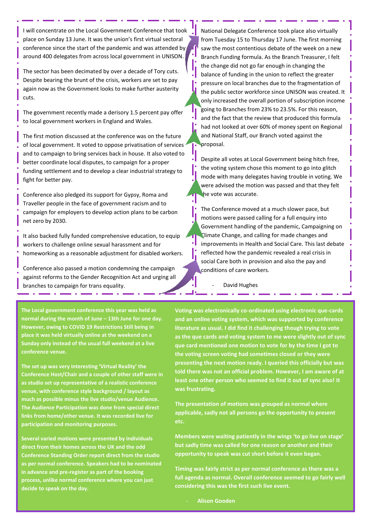I will concentrate on the Local Government Conference that took place on Sunday 13 June. It was the union's first virtual sectoral conference since the start of the pandemic and was attended by around 400 delegates from across local government in UNISON.

The sector has been decimated by over a decade of Tory cuts. Despite bearing the brunt of the crisis, workers are set to pay again now as the Government looks to make further austerity cuts.

The government recently made a derisory 1.5 percent pay offer to local government workers in England and Wales.

The first motion discussed at the conference was on the future of local government. It voted to oppose privatisation of services and to campaign to bring services back in house. It also voted to better coordinate local disputes, to campaign for a proper funding settlement and to develop a clear industrial strategy to fight for better pay.

Conference also pledged its support for Gypsy, Roma and Traveller people in the face of government racism and to campaign for employers to develop action plans to be carbon net zero by 2030.

It also backed fully funded comprehensive education, to equip workers to challenge online sexual harassment and for homeworking as a reasonable adjustment for disabled workers.

Conference also passed a motion condemning the campaign against reforms to the Gender Recognition Act and urging all branches to campaign for trans equality.

**The Local government conference this year was held as normal during the month of June – 13th June for one day. However, owing to COVID 19 Restrictions Still being in place it was held virtually online at the weekend on a Sunday only instead of the usual full weekend at a live conference venue.**

**The set up was very interesting 'Virtual Reality' the Conference Host/Chair and a couple of other staff were in as studio set up representative of a realistic conference venue, with conference style background / layout as much as possible minus the live studio/venue Audience. The Audience Participation was done from special direct links from home/other venue. It was recorded live for participation and monitoring purposes.**

**Several varied motions were presented by individuals direct from their homes across the UK and the odd Conference Standing Order report direct from the studio as per normal conference. Speakers had to be nominated in advance and pre-register as part of the booking process, unlike normal conference where you can just decide to speak on the day.** 

National Delegate Conference took place also virtually from Tuesday 15 to Thursday 17 June. The first morning saw the most contentious debate of the week on a new Branch Funding formula. As the Branch Treasurer, I felt the change did not go far enough in changing the balance of funding in the union to reflect the greater pressure on local branches due to the fragmentation of the public sector workforce since UNISON was created. It only increased the overall portion of subscription income going to Branches from 23% to 23.5%. For this reason, and the fact that the review that produced this formula had not looked at over 60% of money spent on Regional and National Staff, our Branch voted against the proposal.

Despite all votes at Local Government being hitch free, the voting system chose this moment to go into glitch mode with many delegates having trouble in voting. We were advised the motion was passed and that they felt the vote was accurate.

The Conference moved at a much slower pace, but motions were passed calling for a full enquiry into Government handling of the pandemic, Campaigning on Climate Change, and calling for made changes and improvements in Health and Social Care. This last debate reflected how the pandemic revealed a real crisis in social Care both in provision and also the pay and conditions of care workers.

David Hughes

**Voting was electronically co-ordinated using electronic que-cards and an online voting system, which was supported by conference literature as usual. I did find it challenging though trying to vote as the que cards and voting system to me were slightly out of sync que card mentioned one motion to vote for by the time I got to the voting screen voting had sometimes closed or they were presenting the next motion ready. I queried this officially but was told there was not an official problem. However, I am aware of at least one other person who seemed to find it out of sync also! It was frustrating.** 

**The presentation of motions was grouped as normal where applicable, sadly not all persons go the opportunity to present etc.**

**Members were waiting patiently in the wings 'to go live on stage' but sadly time was called for one reason or another and their opportunity to speak was cut short before it even began.**

**Timing was fairly strict as per normal conference as there was a full agenda as normal. Overall conference seemed to go fairly well considering this was the first such live event.**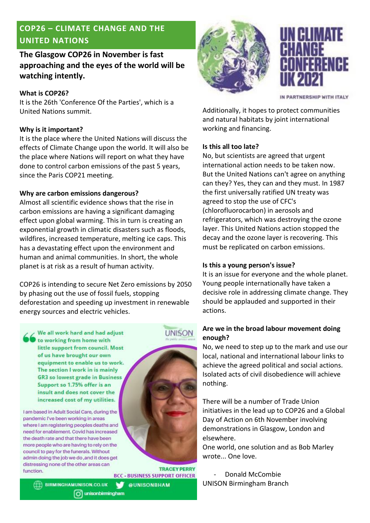### **COP26 – CLIMATE CHANGE AND THE UNITED NATIONS**

### **The Glasgow COP26 in November is fast approaching and the eyes of the world will be watching intently.**

#### **What is COP26?**

It is the 26th 'Conference Of the Parties', which is a United Nations summit.

#### **Why is it important?**

It is the place where the United Nations will discuss the effects of Climate Change upon the world. It will also be the place where Nations will report on what they have done to control carbon emissions of the past 5 years, since the Paris COP21 meeting.

#### **Why are carbon emissions dangerous?**

Almost all scientific evidence shows that the rise in carbon emissions are having a significant damaging effect upon global warming. This in turn is creating an exponential growth in climatic disasters such as floods, wildfires, increased temperature, melting ice caps. This has a devastating effect upon the environment and human and animal communities. In short, the whole planet is at risk as a result of human activity.

COP26 is intending to secure Net Zero emissions by 2050 by phasing out the use of fossil fuels, stopping deforestation and speeding up investment in renewable energy sources and electric vehicles.

We all work hard and had adjust to working from home with little support from council. Most of us have brought our own equipment to enable us to work. The section I work in is mainly **GR3** so lowest grade in Business Support so 1.75% offer is an insult and does not cover the increased cost of my utilities.

I am based in Adult Social Care, during the pandemic I've been working in areas where I am registering peoples deaths and need for enablement. Covid has increased the death rate and that there have been more people who are having to rely on the council to pay for the funerals. Without admin doing the job we do, and it does get distressing none of the other areas can function.



**TRACEY PERRY BCC - BUSINESS SUPPORT OFFICER @UNISONBHAM** 

**EIRMINGHAMUNISON.CO.UK** v ര്രി unisonbirmingham





IN PARTNERSHIP WITH ITALY

Additionally, it hopes to protect communities and natural habitats by joint international working and financing.

#### **Is this all too late?**

No, but scientists are agreed that urgent international action needs to be taken now. But the United Nations can't agree on anything can they? Yes, they can and they must. In 1987 the first universally ratified UN treaty was agreed to stop the use of CFC's (chlorofluorocarbon) in aerosols and refrigerators, which was destroying the ozone layer. This United Nations action stopped the decay and the ozone layer is recovering. This must be replicated on carbon emissions.

#### **Is this a young person's issue?**

It is an issue for everyone and the whole planet. Young people internationally have taken a decisive role in addressing climate change. They should be applauded and supported in their actions.

#### **Are we in the broad labour movement doing enough?**

No, we need to step up to the mark and use our local, national and international labour links to achieve the agreed political and social actions. Isolated acts of civil disobedience will achieve nothing.

There will be a number of Trade Union initiatives in the lead up to COP26 and a Global Day of Action on 6th November involving demonstrations in Glasgow, London and elsewhere.

One world, one solution and as Bob Marley wrote... One love.

- Donald McCombie UNISON Birmingham Branch